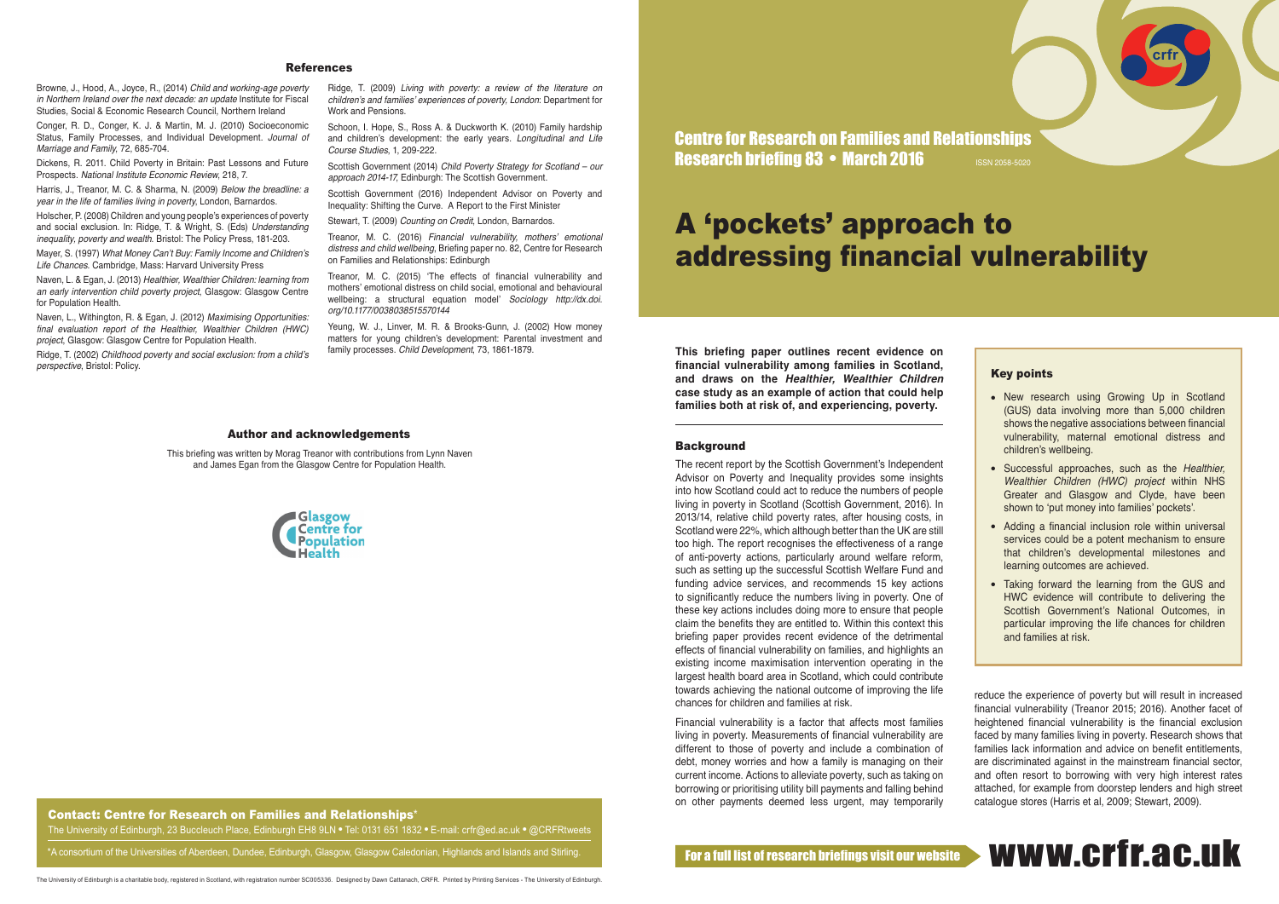\*A consortium of the Universities of Aberdeen, Dundee, Edinburgh, Glasgow, Glasgow Caledonian, Highlands and Islands and Stirling.

**This briefing paper outlines recent evidence on financial vulnerability among families in Scotland, and draws on the** *Healthier, Wealthier Children* **case study as an example of action that could help families both at risk of, and experiencing, poverty.** 

#### **Background**

The recent report by the Scottish Government's Independent Advisor on Poverty and Inequality provides some insights into how Scotland could act to reduce the numbers of people living in poverty in Scotland (Scottish Government, 2016). In 2013/14, relative child poverty rates, after housing costs, in Scotland were 22%, which although better than the UK are still too high. The report recognises the effectiveness of a range of anti-poverty actions, particularly around welfare reform, such as setting up the successful Scottish Welfare Fund and funding advice services, and recommends 15 key actions to significantly reduce the numbers living in poverty. One of these key actions includes doing more to ensure that people claim the benefits they are entitled to. Within this context this briefing paper provides recent evidence of the detrimental effects of financial vulnerability on families, and highlights an existing income maximisation intervention operating in the largest health board area in Scotland, which could contribute towards achieving the national outcome of improving the life chances for children and families at risk.

Naven, L. & Egan, J. (2013) *Healthier, Wealthier Children: learning from an early intervention child poverty project*, Glasgow: Glasgow Centre for Population Health.

> Financial vulnerability is a factor that affects most families living in poverty. Measurements of financial vulnerability are different to those of poverty and include a combination of debt, money worries and how a family is managing on their current income. Actions to alleviate poverty, such as taking on borrowing or prioritising utility bill payments and falling behind on other payments deemed less urgent, may temporarily

Schoon, I. Hope, S., Ross A. & Duckworth K. (2010) Family hardship and children's development: the early years. *Longitudinal and Life Course Studies*, 1, 209-222.

#### Author and acknowledgements

Browne, J., Hood, A., Joyce, R., (2014) *Child and working-age poverty in Northern Ireland over the next decade: an update* Institute for Fiscal Studies, Social & Economic Research Council, Northern Ireland

Conger, R. D., Conger, K. J. & Martin, M. J. (2010) Socioeconomic Status, Family Processes, and Individual Development. *Journal of Marriage and Family*, 72, 685-704.

Dickens, R. 2011. Child Poverty in Britain: Past Lessons and Future Prospects. *National Institute Economic Review*, 218, 7.

Harris, J., Treanor, M. C. & Sharma, N. (2009) *Below the breadline: a year in the life of families living in poverty*, London, Barnardos.

> • New research using Growing Up in Scotland (GUS) data involving more than 5,000 children shows the negative associations between financial vulnerability, maternal emotional distress and children's wellbeing.

Holscher, P. (2008) Children and young people's experiences of poverty and social exclusion. In: Ridge, T. & Wright, S. (Eds) *Understanding inequality, poverty and wealth*. Bristol: The Policy Press, 181-203.

Mayer, S. (1997) What Money Can't Buy: Family Income and Children's *Life Chances*. Cambridge, Mass: Harvard University Press

- **.** Successful approaches, such as the *Healthier*, Wealthier Children (HWC) project within NHS Greater and Glasgow and Clyde, have been shown to 'put money into families' pockets'.
- Adding a financial inclusion role within universal services could be a potent mechanism to ensure that children's developmental milestones and learning outcomes are achieved.
- Taking forward the learning from the GUS and HWC evidence will contribute to delivering the Scottish Government's National Outcomes, in particular improving the life chances for children and families at risk.

Centre for Research on Families and Relationships Research briefing 83 • March 2016 ISSN 2058-5020

Naven, L., Withington, R. & Egan, J. (2012) *Maximising Opportunities:*  final evaluation report of the Healthier, Wealthier Children (HWC) *project*, Glasgow: Glasgow Centre for Population Health.

Ridge, T. (2002) Childhood poverty and social exclusion: from a child's *perspective*, Bristol: Policy.

### References

reduce the experience of poverty but will result in increased financial vulnerability (Treanor 2015; 2016). Another facet of heightened financial vulnerability is the financial exclusion faced by many families living in poverty. Research shows that families lack information and advice on benefit entitlements, are discriminated against in the mainstream financial sector, and often resort to borrowing with very high interest rates attached, for example from doorstep lenders and high street catalogue stores (Harris et al, 2009; Stewart, 2009).

# www.crfr.ac.uk

Ridge, T. (2009) *Living with poverty: a review of the literature on*  children's and families' experiences of poverty, London: Department for Work and Pensions.

Scottish Government (2014) *Child Poverty Strategy for Scotland – our approach 2014-17*, Edinburgh: The Scottish Government.

Scottish Government (2016) Independent Advisor on Poverty and Inequality: Shifting the Curve. A Report to the First Minister

Stewart, T. (2009) *Counting on Credit*, London, Barnardos.

Treanor, M. C. (2016) Financial vulnerability, mothers' emotional *distress and child wellbeing*, Briefing paper no. 82, Centre for Research on Families and Relationships: Edinburgh

Treanor, M. C. (2015) 'The effects of financial vulnerability and mothers' emotional distress on child social, emotional and behavioural wellbeing: a structural equation model' *Sociology http://dx.doi. org/10.1177/0038038515570144*

Yeung, W. J., Linver, M. R. & Brooks-Gunn, J. (2002) How money matters for young children's development: Parental investment and family processes. *Child Development*, 73, 1861-1879.

This briefing was written by Morag Treanor with contributions from Lynn Naven and James Egan from the Glasgow Centre for Population Health.



Contact: Centre for Research on Families and Relationships\* The University of Edinburgh, 23 Buccleuch Place, Edinburgh EH8 9LN · Tel: 0131 651 1832 · E-mail: crfr@ed.ac.uk · @CRFRtweets

## Key points

**crfr**

# A 'pockets' approach to addressing financial vulnerability